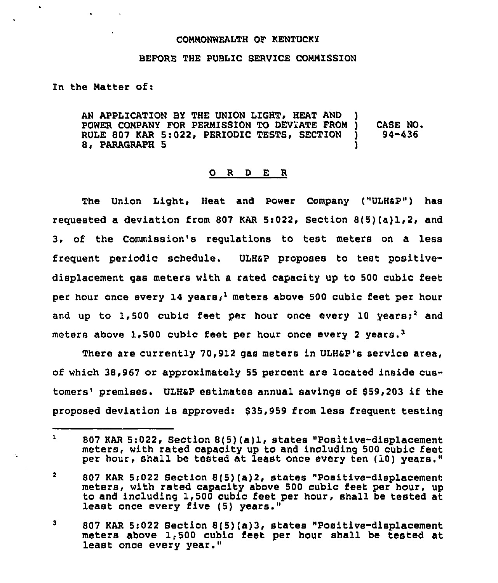## COMMONWEALTH OF KENTUCKY

## BEFORE THE PUBLIC SERVICE COMNISSION

## In the Natter of:

 $\mathbf{r}$ 

AN APPLICATION BY THE UNION LIGHT. HEAT AND POWER COMPANY FOR PERMISSION TO DEVIATE FROM )<br>RULE 807 KAR 5:022, PERIODIC TESTS, SECTION ) RULE 807 KAR 5:022. PERIODIC TESTS. SECTION 8. PARAGRAPH 5 CASE NO. 94-436

## 0 <sup>R</sup> <sup>D</sup> E <sup>R</sup>

The Union Light, Heat and Power Company ("ULH&P") has requested a deviation from 807 KAR 5:022, Section  $B(5)(a)1,2$ , and 3, of the Commission's regulations to test meters on a less frequent periodic schedule. ULHap proposes to test positivedisplacement gas meters with a rated capacity up to 500 cubic feet per hour once every 14 years;<sup>1</sup> meters above 500 cubic feet per hour and up to 1,500 cubic feet per hour once every 10 years;<sup>2</sup> and meters above 1,500 cubic feet per hour once every 2 years.<sup>3</sup>

There are currently 70,912 gas meters in ULHap's service area, of which 38,967 or approximately 55 percent are located inside customers' premises. ULH&P estimates annual savings of \$59,203 if the proposed deviation is approvedi \$35,959 from less frequent testing

 $\mathbf{L}$ 807 KAR 5:022, Section 8(5)(a)l, states "Positive-displacement meters, with rated capacity up to and including 500 cubic feet per hour, shall be tested at least once every ten (10) years."

 $\overline{2}$ 807 KAR Si022 Section 8(5)(a)2, states "Positive-displacement meters, with rated capacity above 500 cubic Eeet per hour, up to and including 1,500 cubic feet per hour, shall be tested at least once every five (5) years."

 $\mathbf{3}$ 807 KAR 5:022 Section 8(5)(a)3, states "Positive-displacement meters above 1,500 cubic Eeet per hour shall be tested at least once every year."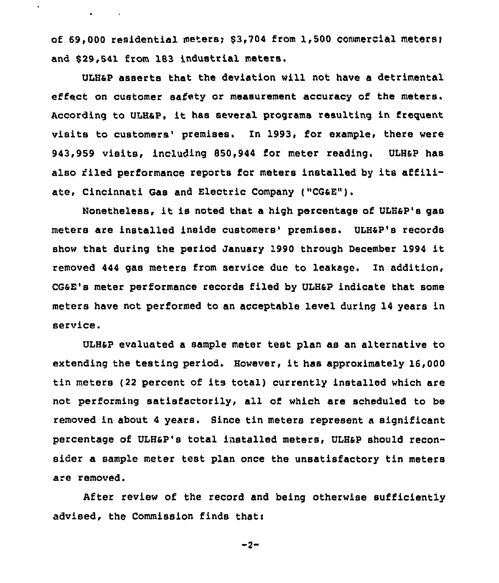of  $69,000$  residential meters;  $$3,704$  from 1,500 commercial meters; and \$29,541 from 183 industrial meters.

 $\bullet$  . The second second second  $\bullet$ 

ULHap asserts that the deviation will not have a detrimental effect on customer safety or measurement accuracy of the meters. According to ULHaP, it has several programs resulting in frequent visits to customers' premises. In 1993, for example, there were 943,959 visits, including 850,944 for meter reading. ULHap has also filed performance reports fcr meters installed by its affiliate, Cincinnati Gas and Electric Company ("CGaE").

Nonetheless, it is noted that <sup>a</sup> high percentage of ULH4P's gas meters are installed inside customers' premises. ULH&P's records show that during the period January 1990 through December 1994 it removed 444 gas meters from service due to leakage. In addition, CGaE's meter performance records filed by ULHap indicate that some meters have not performed to an acceptable level during 14 years in service.

ULHaP evaluated a sample meter test plan as an alternative to extending the testing period. However, it has approximately 16,000 tin meters (22 percent of its total) currently installed which are not performing satisfactorily, ail of which are scheduled to be removed in about <sup>4</sup> years. Since tin meters represent a significant percentage of ULHSP's total installed meters, ULHap should reconsider a sample meter test plan once the unsatisfactory tin meters are removed.

After review of the record and being otherwise sufficiently advised, the Commission finds thati

 $-2-$